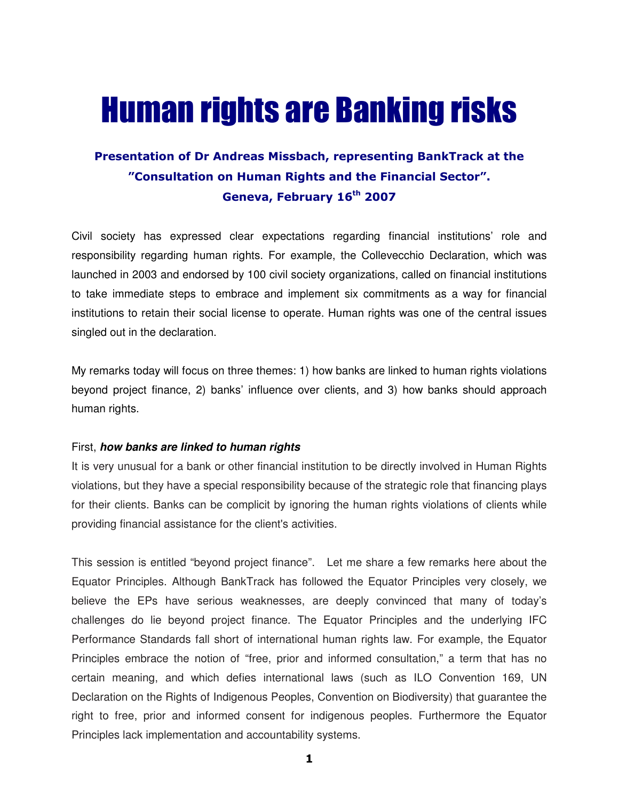## Human rights are Banking risks

## Presentation of Dr Andreas Missbach, representing BankTrack at the "Consultation on Human Rights and the Financial Sector". Geneva, February 16<sup>th</sup> 2007

Civil society has expressed clear expectations regarding financial institutions' role and responsibility regarding human rights. For example, the Collevecchio Declaration, which was launched in 2003 and endorsed by 100 civil society organizations, called on financial institutions to take immediate steps to embrace and implement six commitments as a way for financial institutions to retain their social license to operate. Human rights was one of the central issues singled out in the declaration.

My remarks today will focus on three themes: 1) how banks are linked to human rights violations beyond project finance, 2) banks' influence over clients, and 3) how banks should approach human rights.

## First, **how banks are linked to human rights**

It is very unusual for a bank or other financial institution to be directly involved in Human Rights violations, but they have a special responsibility because of the strategic role that financing plays for their clients. Banks can be complicit by ignoring the human rights violations of clients while providing financial assistance for the client's activities.

This session is entitled "beyond project finance". Let me share a few remarks here about the Equator Principles. Although BankTrack has followed the Equator Principles very closely, we believe the EPs have serious weaknesses, are deeply convinced that many of today's challenges do lie beyond project finance. The Equator Principles and the underlying IFC Performance Standards fall short of international human rights law. For example, the Equator Principles embrace the notion of "free, prior and informed consultation," a term that has no certain meaning, and which defies international laws (such as ILO Convention 169, UN Declaration on the Rights of Indigenous Peoples, Convention on Biodiversity) that guarantee the right to free, prior and informed consent for indigenous peoples. Furthermore the Equator Principles lack implementation and accountability systems.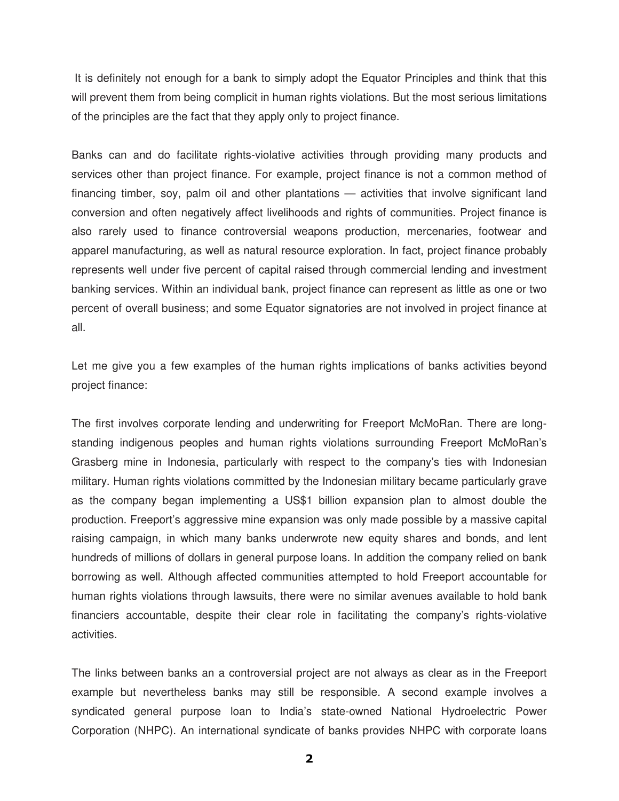It is definitely not enough for a bank to simply adopt the Equator Principles and think that this will prevent them from being complicit in human rights violations. But the most serious limitations of the principles are the fact that they apply only to project finance.

Banks can and do facilitate rights-violative activities through providing many products and services other than project finance. For example, project finance is not a common method of financing timber, soy, palm oil and other plantations — activities that involve significant land conversion and often negatively affect livelihoods and rights of communities. Project finance is also rarely used to finance controversial weapons production, mercenaries, footwear and apparel manufacturing, as well as natural resource exploration. In fact, project finance probably represents well under five percent of capital raised through commercial lending and investment banking services. Within an individual bank, project finance can represent as little as one or two percent of overall business; and some Equator signatories are not involved in project finance at all.

Let me give you a few examples of the human rights implications of banks activities beyond project finance:

The first involves corporate lending and underwriting for Freeport McMoRan. There are longstanding indigenous peoples and human rights violations surrounding Freeport McMoRan's Grasberg mine in Indonesia, particularly with respect to the company's ties with Indonesian military. Human rights violations committed by the Indonesian military became particularly grave as the company began implementing a US\$1 billion expansion plan to almost double the production. Freeport's aggressive mine expansion was only made possible by a massive capital raising campaign, in which many banks underwrote new equity shares and bonds, and lent hundreds of millions of dollars in general purpose loans. In addition the company relied on bank borrowing as well. Although affected communities attempted to hold Freeport accountable for human rights violations through lawsuits, there were no similar avenues available to hold bank financiers accountable, despite their clear role in facilitating the company's rights-violative activities.

The links between banks an a controversial project are not always as clear as in the Freeport example but nevertheless banks may still be responsible. A second example involves a syndicated general purpose loan to India's state-owned National Hydroelectric Power Corporation (NHPC). An international syndicate of banks provides NHPC with corporate loans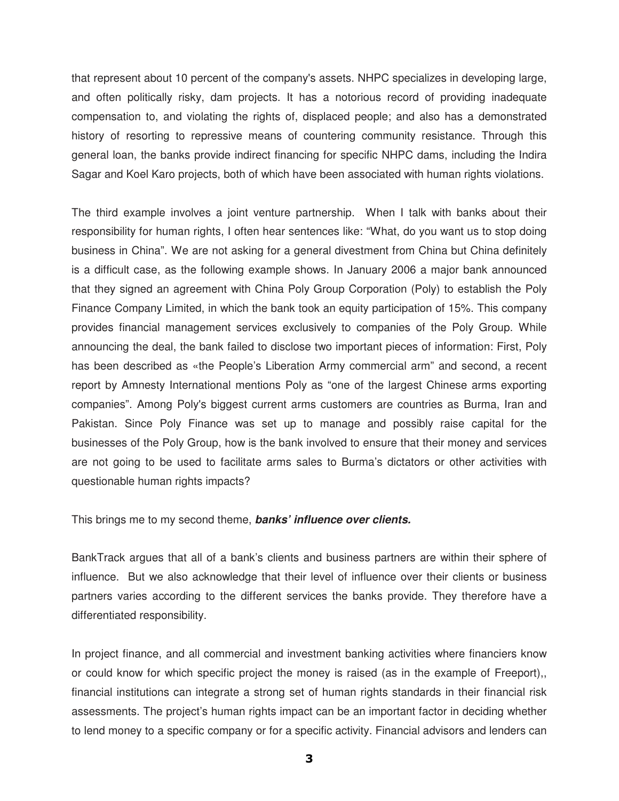that represent about 10 percent of the company's assets. NHPC specializes in developing large, and often politically risky, dam projects. It has a notorious record of providing inadequate compensation to, and violating the rights of, displaced people; and also has a demonstrated history of resorting to repressive means of countering community resistance. Through this general loan, the banks provide indirect financing for specific NHPC dams, including the Indira Sagar and Koel Karo projects, both of which have been associated with human rights violations.

The third example involves a joint venture partnership. When I talk with banks about their responsibility for human rights, I often hear sentences like: "What, do you want us to stop doing business in China". We are not asking for a general divestment from China but China definitely is a difficult case, as the following example shows. In January 2006 a major bank announced that they signed an agreement with China Poly Group Corporation (Poly) to establish the Poly Finance Company Limited, in which the bank took an equity participation of 15%. This company provides financial management services exclusively to companies of the Poly Group. While announcing the deal, the bank failed to disclose two important pieces of information: First, Poly has been described as «the People's Liberation Army commercial arm" and second, a recent report by Amnesty International mentions Poly as "one of the largest Chinese arms exporting companies". Among Poly's biggest current arms customers are countries as Burma, Iran and Pakistan. Since Poly Finance was set up to manage and possibly raise capital for the businesses of the Poly Group, how is the bank involved to ensure that their money and services are not going to be used to facilitate arms sales to Burma's dictators or other activities with questionable human rights impacts?

This brings me to my second theme, **banks' influence over clients.**

BankTrack argues that all of a bank's clients and business partners are within their sphere of influence. But we also acknowledge that their level of influence over their clients or business partners varies according to the different services the banks provide. They therefore have a differentiated responsibility.

In project finance, and all commercial and investment banking activities where financiers know or could know for which specific project the money is raised (as in the example of Freeport),, financial institutions can integrate a strong set of human rights standards in their financial risk assessments. The project's human rights impact can be an important factor in deciding whether to lend money to a specific company or for a specific activity. Financial advisors and lenders can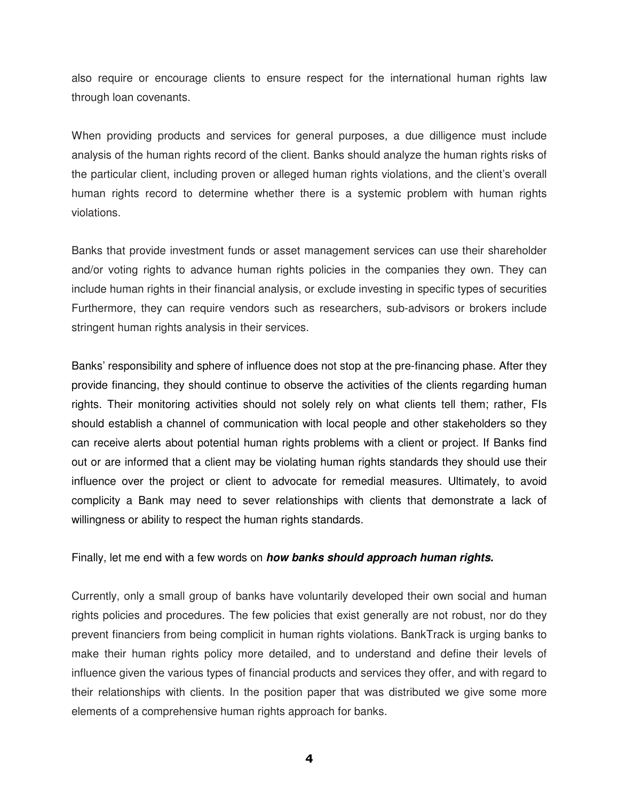also require or encourage clients to ensure respect for the international human rights law through loan covenants.

When providing products and services for general purposes, a due dilligence must include analysis of the human rights record of the client. Banks should analyze the human rights risks of the particular client, including proven or alleged human rights violations, and the client's overall human rights record to determine whether there is a systemic problem with human rights violations.

Banks that provide investment funds or asset management services can use their shareholder and/or voting rights to advance human rights policies in the companies they own. They can include human rights in their financial analysis, or exclude investing in specific types of securities Furthermore, they can require vendors such as researchers, sub-advisors or brokers include stringent human rights analysis in their services.

Banks' responsibility and sphere of influence does not stop at the pre-financing phase. After they provide financing, they should continue to observe the activities of the clients regarding human rights. Their monitoring activities should not solely rely on what clients tell them; rather, FIs should establish a channel of communication with local people and other stakeholders so they can receive alerts about potential human rights problems with a client or project. If Banks find out or are informed that a client may be violating human rights standards they should use their influence over the project or client to advocate for remedial measures. Ultimately, to avoid complicity a Bank may need to sever relationships with clients that demonstrate a lack of willingness or ability to respect the human rights standards.

## Finally, let me end with a few words on **how banks should approach human rights.**

Currently, only a small group of banks have voluntarily developed their own social and human rights policies and procedures. The few policies that exist generally are not robust, nor do they prevent financiers from being complicit in human rights violations. BankTrack is urging banks to make their human rights policy more detailed, and to understand and define their levels of influence given the various types of financial products and services they offer, and with regard to their relationships with clients. In the position paper that was distributed we give some more elements of a comprehensive human rights approach for banks.